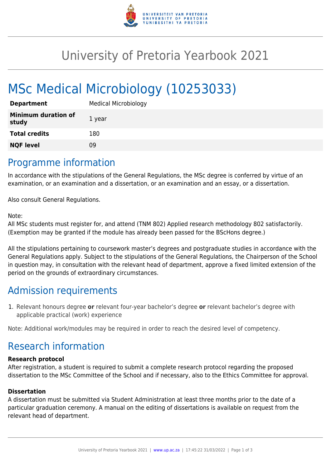

## University of Pretoria Yearbook 2021

# MSc Medical Microbiology (10253033)

| <b>Department</b>                   | <b>Medical Microbiology</b> |
|-------------------------------------|-----------------------------|
| <b>Minimum duration of</b><br>study | 1 year                      |
| <b>Total credits</b>                | 180                         |
| <b>NQF level</b>                    | 09                          |

### Programme information

In accordance with the stipulations of the General Regulations, the MSc degree is conferred by virtue of an examination, or an examination and a dissertation, or an examination and an essay, or a dissertation.

Also consult General Regulations.

#### Note:

All MSc students must register for, and attend (TNM 802) Applied research methodology 802 satisfactorily. (Exemption may be granted if the module has already been passed for the BScHons degree.)

All the stipulations pertaining to coursework master's degrees and postgraduate studies in accordance with the General Regulations apply. Subject to the stipulations of the General Regulations, the Chairperson of the School in question may, in consultation with the relevant head of department, approve a fixed limited extension of the period on the grounds of extraordinary circumstances.

## Admission requirements

1. Relevant honours degree **or** relevant four-year bachelor's degree **or** relevant bachelor's degree with applicable practical (work) experience

Note: Additional work/modules may be required in order to reach the desired level of competency.

## Research information

#### **Research protocol**

After registration, a student is required to submit a complete research protocol regarding the proposed dissertation to the MSc Committee of the School and if necessary, also to the Ethics Committee for approval.

#### **Dissertation**

A dissertation must be submitted via Student Administration at least three months prior to the date of a particular graduation ceremony. A manual on the editing of dissertations is available on request from the relevant head of department.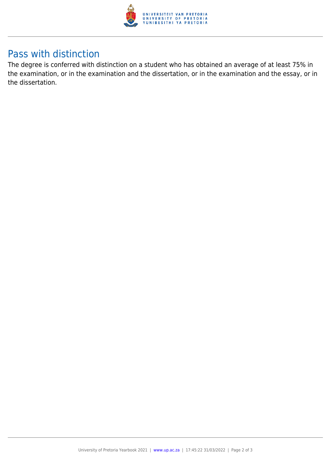

## Pass with distinction

The degree is conferred with distinction on a student who has obtained an average of at least 75% in the examination, or in the examination and the dissertation, or in the examination and the essay, or in the dissertation.